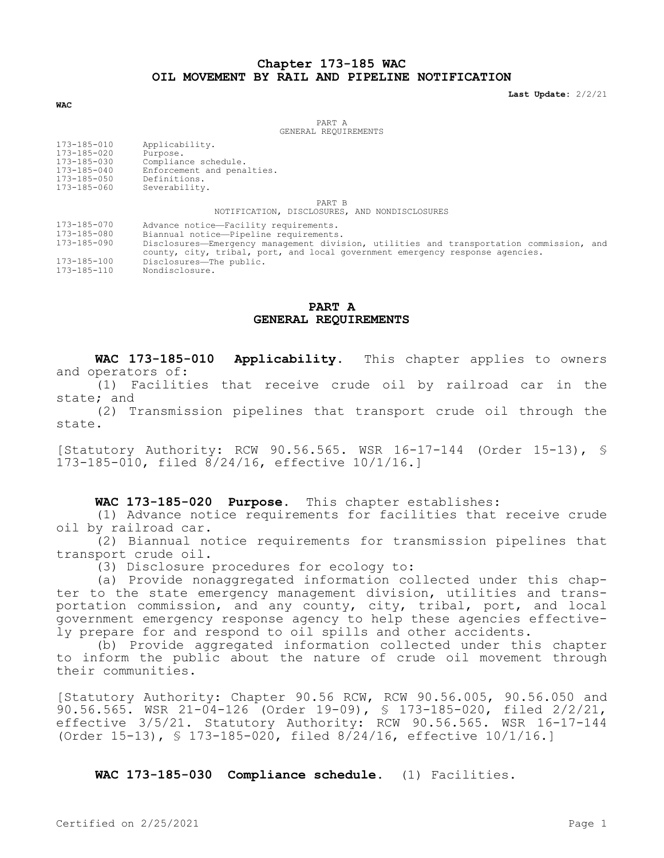# **Chapter 173-185 WAC OIL MOVEMENT BY RAIL AND PIPELINE NOTIFICATION**

**Last Update:** 2/2/21

**WAC**

PART A GENERAL REQUIREMENTS

| 173-185-010<br>Applicability.<br>173-185-020<br>Purpose.<br>173-185-030<br>Compliance schedule.<br>173-185-040<br>Enforcement and penalties.<br>Definitions.<br>173-185-050<br>173-185-060<br>Severability. |  |
|-------------------------------------------------------------------------------------------------------------------------------------------------------------------------------------------------------------|--|
|-------------------------------------------------------------------------------------------------------------------------------------------------------------------------------------------------------------|--|

PART B

NOTIFICATION, DISCLOSURES, AND NONDISCLOSURES

- 173-185-070 Advance notice—Facility requirements.
- 173-185-080 Biannual notice—Pipeline requirements.

Disclosures—Emergency management division, utilities and transportation commission, and county, city, tribal, port, and local government emergency response agencies. 173-185-100 Disclosures—The public.

173-185-110 Nondisclosure.

### **PART A GENERAL REQUIREMENTS**

**WAC 173-185-010 Applicability.** This chapter applies to owners and operators of:

(1) Facilities that receive crude oil by railroad car in the state; and

(2) Transmission pipelines that transport crude oil through the state.

[Statutory Authority: RCW 90.56.565. WSR 16-17-144 (Order 15-13), § 173-185-010, filed 8/24/16, effective 10/1/16.]

### **WAC 173-185-020 Purpose.** This chapter establishes:

(1) Advance notice requirements for facilities that receive crude oil by railroad car.

(2) Biannual notice requirements for transmission pipelines that transport crude oil.

(3) Disclosure procedures for ecology to:

(a) Provide nonaggregated information collected under this chapter to the state emergency management division, utilities and transportation commission, and any county, city, tribal, port, and local government emergency response agency to help these agencies effectively prepare for and respond to oil spills and other accidents.

(b) Provide aggregated information collected under this chapter to inform the public about the nature of crude oil movement through their communities.

[Statutory Authority: Chapter 90.56 RCW, RCW 90.56.005, 90.56.050 and 90.56.565. WSR 21-04-126 (Order 19-09), § 173-185-020, filed 2/2/21, effective 3/5/21. Statutory Authority: RCW 90.56.565. WSR 16-17-144 (Order 15-13), § 173-185-020, filed 8/24/16, effective 10/1/16.]

**WAC 173-185-030 Compliance schedule.** (1) Facilities.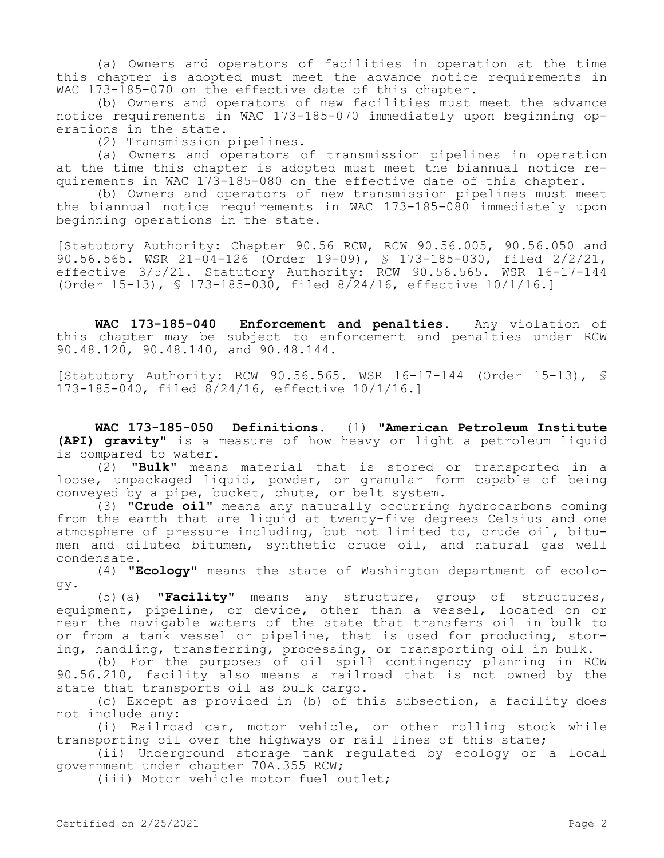(a) Owners and operators of facilities in operation at the time this chapter is adopted must meet the advance notice requirements in WAC 173-185-070 on the effective date of this chapter.

(b) Owners and operators of new facilities must meet the advance notice requirements in WAC 173-185-070 immediately upon beginning operations in the state.

(2) Transmission pipelines.

(a) Owners and operators of transmission pipelines in operation at the time this chapter is adopted must meet the biannual notice requirements in WAC 173-185-080 on the effective date of this chapter.

(b) Owners and operators of new transmission pipelines must meet the biannual notice requirements in WAC 173-185-080 immediately upon beginning operations in the state.

[Statutory Authority: Chapter 90.56 RCW, RCW 90.56.005, 90.56.050 and 90.56.565. WSR  $21-\overline{04}-126$  (Order 19-09), § 173-185-030, filed  $2/2/21$ , effective 3/5/21. Statutory Authority: RCW 90.56.565. WSR 16-17-144 (Order 15-13), § 173-185-030, filed 8/24/16, effective 10/1/16.]

**WAC 173-185-040 Enforcement and penalties.** Any violation of this chapter may be subject to enforcement and penalties under RCW 90.48.120, 90.48.140, and 90.48.144.

[Statutory Authority: RCW 90.56.565. WSR 16-17-144 (Order 15-13), § 173-185-040, filed 8/24/16, effective 10/1/16.]

**WAC 173-185-050 Definitions.** (1) **"American Petroleum Institute (API) gravity"** is a measure of how heavy or light a petroleum liquid is compared to water.

(2) **"Bulk"** means material that is stored or transported in a loose, unpackaged liquid, powder, or granular form capable of being conveyed by a pipe, bucket, chute, or belt system.

(3) **"Crude oil"** means any naturally occurring hydrocarbons coming from the earth that are liquid at twenty-five degrees Celsius and one atmosphere of pressure including, but not limited to, crude oil, bitumen and diluted bitumen, synthetic crude oil, and natural gas well condensate.

(4) **"Ecology"** means the state of Washington department of ecology.

(5)(a) **"Facility"** means any structure, group of structures, equipment, pipeline, or device, other than a vessel, located on or near the navigable waters of the state that transfers oil in bulk to or from a tank vessel or pipeline, that is used for producing, storing, handling, transferring, processing, or transporting oil in bulk.

(b) For the purposes of oil spill contingency planning in RCW 90.56.210, facility also means a railroad that is not owned by the state that transports oil as bulk cargo.

(c) Except as provided in (b) of this subsection, a facility does not include any:

(i) Railroad car, motor vehicle, or other rolling stock while transporting oil over the highways or rail lines of this state;

(ii) Underground storage tank regulated by ecology or a local government under chapter 70A.355 RCW;

(iii) Motor vehicle motor fuel outlet;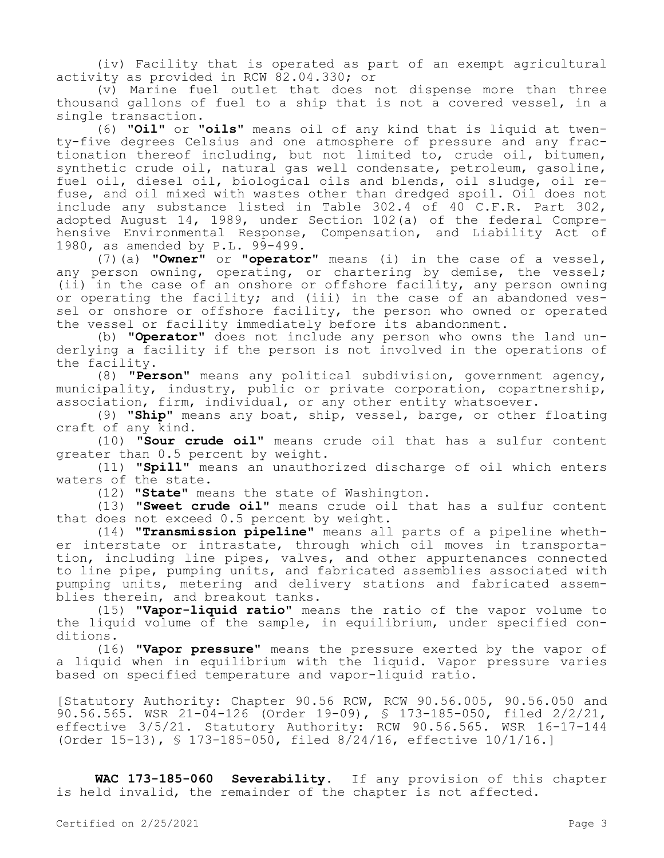(iv) Facility that is operated as part of an exempt agricultural activity as provided in RCW 82.04.330; or

(v) Marine fuel outlet that does not dispense more than three thousand gallons of fuel to a ship that is not a covered vessel, in a single transaction.

(6) **"Oil"** or **"oils"** means oil of any kind that is liquid at twenty-five degrees Celsius and one atmosphere of pressure and any fractionation thereof including, but not limited to, crude oil, bitumen, synthetic crude oil, natural gas well condensate, petroleum, gasoline, fuel oil, diesel oil, biological oils and blends, oil sludge, oil refuse, and oil mixed with wastes other than dredged spoil. Oil does not include any substance listed in Table 302.4 of 40 C.F.R. Part 302, adopted August 14, 1989, under Section 102(a) of the federal Comprehensive Environmental Response, Compensation, and Liability Act of 1980, as amended by P.L. 99-499.

(7)(a) **"Owner"** or **"operator"** means (i) in the case of a vessel, any person owning, operating, or chartering by demise, the vessel; (ii) in the case of an onshore or offshore facility, any person owning or operating the facility; and (iii) in the case of an abandoned vessel or onshore or offshore facility, the person who owned or operated the vessel or facility immediately before its abandonment.

(b) **"Operator"** does not include any person who owns the land underlying a facility if the person is not involved in the operations of the facility.

(8) **"Person"** means any political subdivision, government agency, municipality, industry, public or private corporation, copartnership, association, firm, individual, or any other entity whatsoever.

(9) **"Ship"** means any boat, ship, vessel, barge, or other floating craft of any kind.

(10) **"Sour crude oil"** means crude oil that has a sulfur content greater than 0.5 percent by weight.

(11) **"Spill"** means an unauthorized discharge of oil which enters waters of the state.

(12) **"State"** means the state of Washington.

(13) **"Sweet crude oil"** means crude oil that has a sulfur content that does not exceed 0.5 percent by weight.

(14) **"Transmission pipeline"** means all parts of a pipeline whether interstate or intrastate, through which oil moves in transportation, including line pipes, valves, and other appurtenances connected to line pipe, pumping units, and fabricated assemblies associated with pumping units, metering and delivery stations and fabricated assemblies therein, and breakout tanks.

(15) **"Vapor-liquid ratio"** means the ratio of the vapor volume to the liquid volume of the sample, in equilibrium, under specified conditions.

(16) **"Vapor pressure"** means the pressure exerted by the vapor of a liquid when in equilibrium with the liquid. Vapor pressure varies based on specified temperature and vapor-liquid ratio.

[Statutory Authority: Chapter 90.56 RCW, RCW 90.56.005, 90.56.050 and 90.56.565. WSR 21-04-126 (Order 19-09), § 173-185-050, filed 2/2/21, effective 3/5/21. Statutory Authority: RCW 90.56.565. WSR 16-17-144 (Order 15-13), § 173-185-050, filed 8/24/16, effective 10/1/16.]

**WAC 173-185-060 Severability.** If any provision of this chapter is held invalid, the remainder of the chapter is not affected.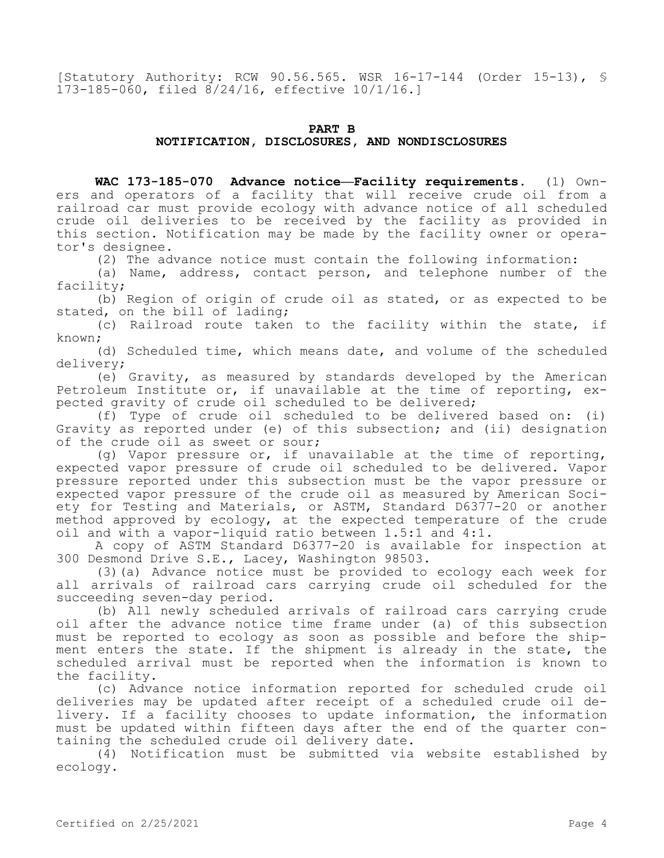[Statutory Authority: RCW 90.56.565. WSR 16-17-144 (Order 15-13), § 173-185-060, filed 8/24/16, effective 10/1/16.]

### **PART B**

## **NOTIFICATION, DISCLOSURES, AND NONDISCLOSURES**

**WAC 173-185-070 Advance notice—Facility requirements.** (1) Owners and operators of a facility that will receive crude oil from a railroad car must provide ecology with advance notice of all scheduled crude oil deliveries to be received by the facility as provided in this section. Notification may be made by the facility owner or operator's designee.

(2) The advance notice must contain the following information:

(a) Name, address, contact person, and telephone number of the facility;

(b) Region of origin of crude oil as stated, or as expected to be stated, on the bill of lading;

(c) Railroad route taken to the facility within the state, if known;

(d) Scheduled time, which means date, and volume of the scheduled delivery;

(e) Gravity, as measured by standards developed by the American Petroleum Institute or, if unavailable at the time of reporting, expected gravity of crude oil scheduled to be delivered;

(f) Type of crude oil scheduled to be delivered based on: (i) Gravity as reported under (e) of this subsection; and (ii) designation of the crude oil as sweet or sour;

(g) Vapor pressure or, if unavailable at the time of reporting, expected vapor pressure of crude oil scheduled to be delivered. Vapor pressure reported under this subsection must be the vapor pressure or expected vapor pressure of the crude oil as measured by American Society for Testing and Materials, or ASTM, Standard D6377-20 or another method approved by ecology, at the expected temperature of the crude oil and with a vapor-liquid ratio between 1.5:1 and 4:1.

A copy of ASTM Standard D6377-20 is available for inspection at 300 Desmond Drive S.E., Lacey, Washington 98503.

(3)(a) Advance notice must be provided to ecology each week for all arrivals of railroad cars carrying crude oil scheduled for the succeeding seven-day period.

(b) All newly scheduled arrivals of railroad cars carrying crude oil after the advance notice time frame under (a) of this subsection must be reported to ecology as soon as possible and before the shipment enters the state. If the shipment is already in the state, the scheduled arrival must be reported when the information is known to the facility.

(c) Advance notice information reported for scheduled crude oil deliveries may be updated after receipt of a scheduled crude oil delivery. If a facility chooses to update information, the information must be updated within fifteen days after the end of the quarter containing the scheduled crude oil delivery date.

(4) Notification must be submitted via website established by ecology.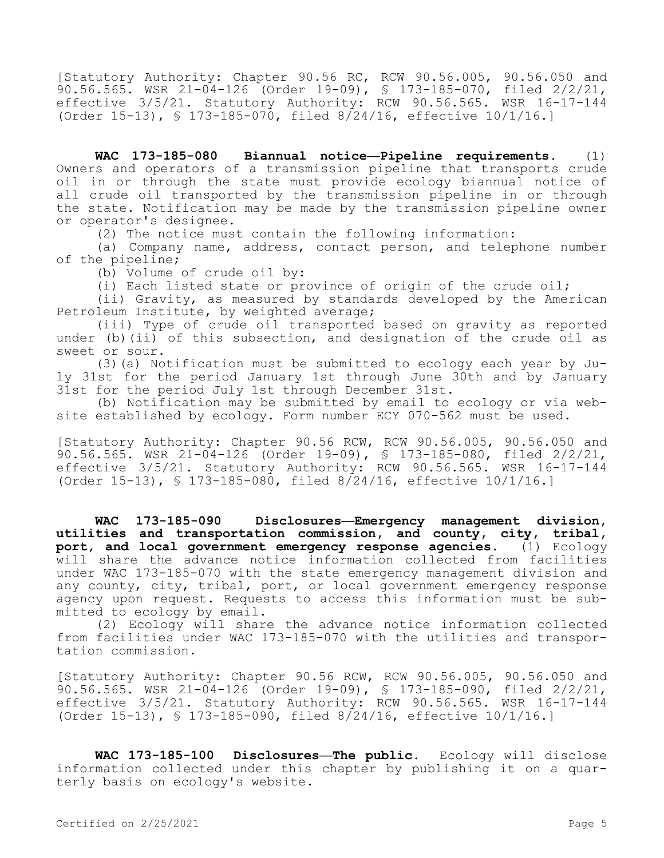[Statutory Authority: Chapter 90.56 RC, RCW 90.56.005, 90.56.050 and 90.56.565. WSR 21-04-126 (Order 19-09), § 173-185-070, filed 2/2/21, effective 3/5/21. Statutory Authority: RCW 90.56.565. WSR 16-17-144 (Order 15-13), § 173-185-070, filed 8/24/16, effective 10/1/16.]

**WAC 173-185-080 Biannual notice—Pipeline requirements.** (1) Owners and operators of a transmission pipeline that transports crude oil in or through the state must provide ecology biannual notice of all crude oil transported by the transmission pipeline in or through the state. Notification may be made by the transmission pipeline owner or operator's designee.

(2) The notice must contain the following information:

(a) Company name, address, contact person, and telephone number of the pipeline;

(b) Volume of crude oil by:

(i) Each listed state or province of origin of the crude oil;

(ii) Gravity, as measured by standards developed by the American Petroleum Institute, by weighted average;

(iii) Type of crude oil transported based on gravity as reported under (b)(ii) of this subsection, and designation of the crude oil as sweet or sour.

(3)(a) Notification must be submitted to ecology each year by July 31st for the period January 1st through June 30th and by January 31st for the period July 1st through December 31st.

(b) Notification may be submitted by email to ecology or via website established by ecology. Form number ECY 070-562 must be used.

[Statutory Authority: Chapter 90.56 RCW, RCW 90.56.005, 90.56.050 and 90.56.565. WSR 21-04-126 (Order 19-09), § 173-185-080, filed 2/2/21, effective 3/5/21. Statutory Authority: RCW 90.56.565. WSR 16-17-144 (Order 15-13), § 173-185-080, filed 8/24/16, effective 10/1/16.]

**WAC 173-185-090 Disclosures—Emergency management division, utilities and transportation commission, and county, city, tribal, port, and local government emergency response agencies.** (1) Ecology will share the advance notice information collected from facilities under WAC 173-185-070 with the state emergency management division and any county, city, tribal, port, or local government emergency response agency upon request. Requests to access this information must be submitted to ecology by email.

(2) Ecology will share the advance notice information collected from facilities under WAC 173-185-070 with the utilities and transportation commission.

[Statutory Authority: Chapter 90.56 RCW, RCW 90.56.005, 90.56.050 and 90.56.565. WSR 21-04-126 (Order 19-09), § 173-185-090, filed 2/2/21, effective 3/5/21. Statutory Authority: RCW 90.56.565. WSR 16-17-144 (Order 15-13), § 173-185-090, filed 8/24/16, effective 10/1/16.]

**WAC 173-185-100 Disclosures—The public.** Ecology will disclose information collected under this chapter by publishing it on a quarterly basis on ecology's website.